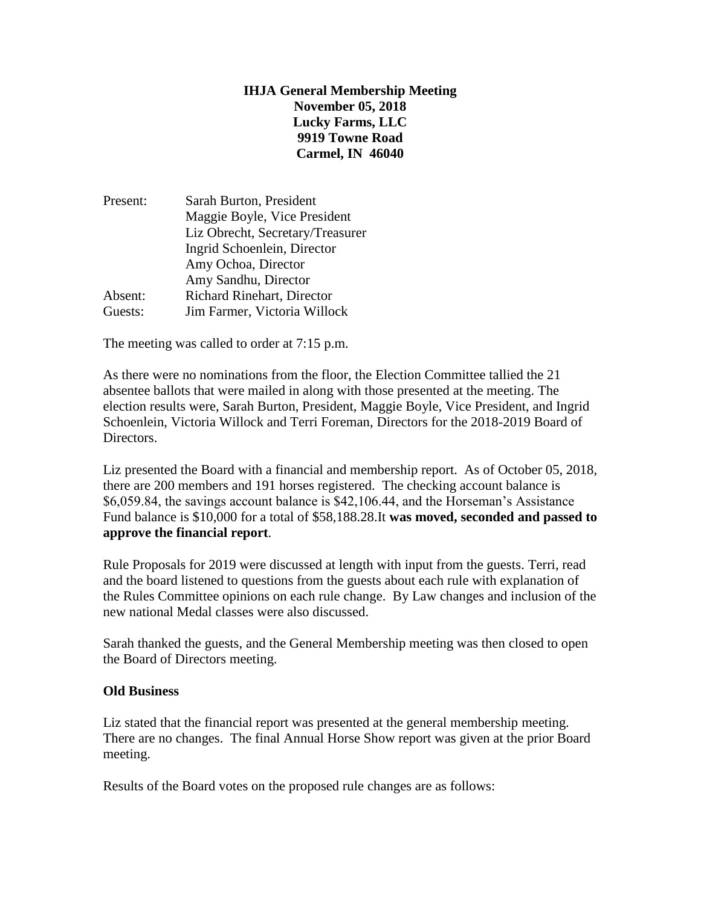# **IHJA General Membership Meeting November 05, 2018 Lucky Farms, LLC 9919 Towne Road Carmel, IN 46040**

| Maggie Boyle, Vice President                |
|---------------------------------------------|
|                                             |
| Liz Obrecht, Secretary/Treasurer            |
|                                             |
| Amy Ochoa, Director<br>Amy Sandhu, Director |
|                                             |
|                                             |
|                                             |
|                                             |

The meeting was called to order at 7:15 p.m.

As there were no nominations from the floor, the Election Committee tallied the 21 absentee ballots that were mailed in along with those presented at the meeting. The election results were, Sarah Burton, President, Maggie Boyle, Vice President, and Ingrid Schoenlein, Victoria Willock and Terri Foreman, Directors for the 2018-2019 Board of Directors.

Liz presented the Board with a financial and membership report. As of October 05, 2018, there are 200 members and 191 horses registered. The checking account balance is \$6,059.84, the savings account balance is \$42,106.44, and the Horseman's Assistance Fund balance is \$10,000 for a total of \$58,188.28.It **was moved, seconded and passed to approve the financial report**.

Rule Proposals for 2019 were discussed at length with input from the guests. Terri, read and the board listened to questions from the guests about each rule with explanation of the Rules Committee opinions on each rule change. By Law changes and inclusion of the new national Medal classes were also discussed.

Sarah thanked the guests, and the General Membership meeting was then closed to open the Board of Directors meeting.

### **Old Business**

Liz stated that the financial report was presented at the general membership meeting. There are no changes. The final Annual Horse Show report was given at the prior Board meeting.

Results of the Board votes on the proposed rule changes are as follows: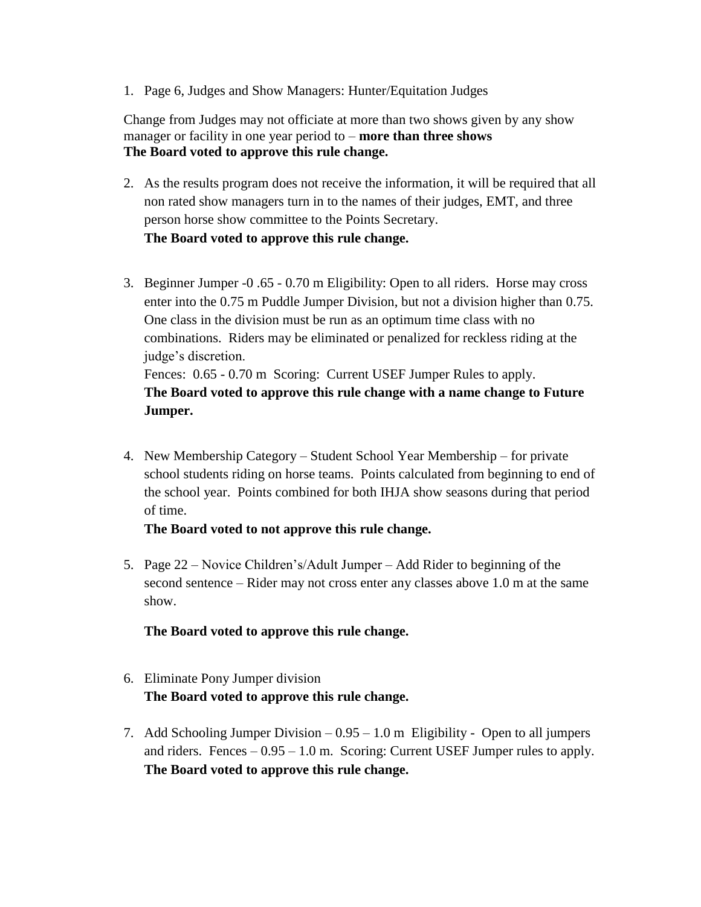1. Page 6, Judges and Show Managers: Hunter/Equitation Judges

Change from Judges may not officiate at more than two shows given by any show manager or facility in one year period to – **more than three shows The Board voted to approve this rule change.**

- 2. As the results program does not receive the information, it will be required that all non rated show managers turn in to the names of their judges, EMT, and three person horse show committee to the Points Secretary. **The Board voted to approve this rule change.**
- 3. Beginner Jumper -0 .65 0.70 m Eligibility: Open to all riders. Horse may cross enter into the 0.75 m Puddle Jumper Division, but not a division higher than 0.75. One class in the division must be run as an optimum time class with no combinations. Riders may be eliminated or penalized for reckless riding at the judge's discretion. Fences:  $0.65 - 0.70$  m Scoring: Current USEF Jumper Rules to apply. **The Board voted to approve this rule change with a name change to Future Jumper.**
- 4. New Membership Category Student School Year Membership for private school students riding on horse teams. Points calculated from beginning to end of the school year. Points combined for both IHJA show seasons during that period of time.

### **The Board voted to not approve this rule change.**

5. Page 22 – Novice Children's/Adult Jumper – Add Rider to beginning of the second sentence – Rider may not cross enter any classes above 1.0 m at the same show.

### **The Board voted to approve this rule change.**

- 6. Eliminate Pony Jumper division **The Board voted to approve this rule change.**
- 7. Add Schooling Jumper Division 0.95 1.0 m Eligibility Open to all jumpers and riders. Fences  $-0.95 - 1.0$  m. Scoring: Current USEF Jumper rules to apply. **The Board voted to approve this rule change.**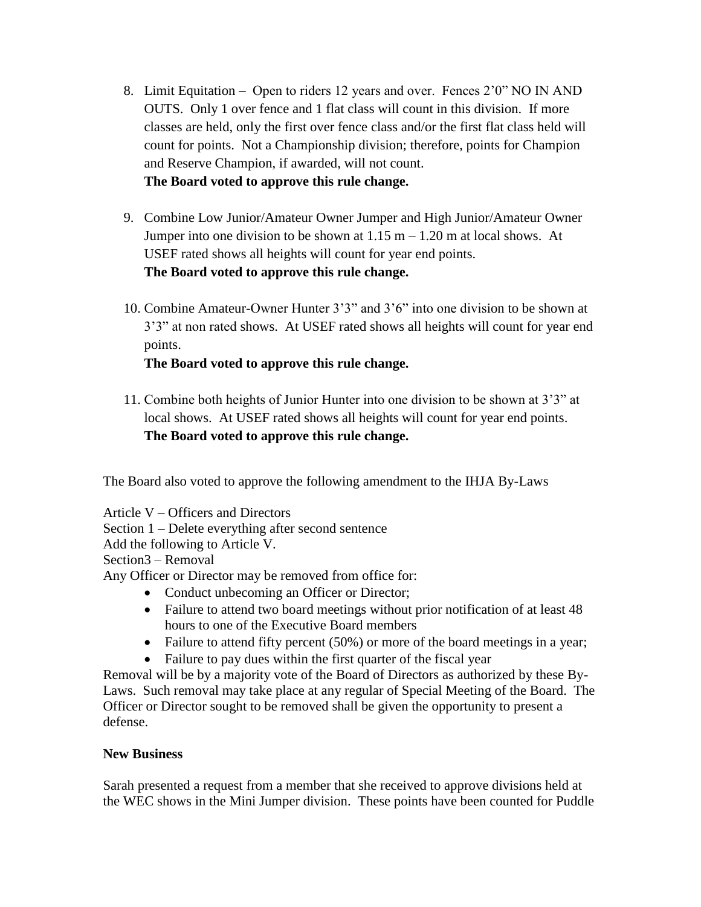8. Limit Equitation – Open to riders 12 years and over. Fences 2'0" NO IN AND OUTS. Only 1 over fence and 1 flat class will count in this division. If more classes are held, only the first over fence class and/or the first flat class held will count for points. Not a Championship division; therefore, points for Champion and Reserve Champion, if awarded, will not count.

## **The Board voted to approve this rule change.**

- 9. Combine Low Junior/Amateur Owner Jumper and High Junior/Amateur Owner Jumper into one division to be shown at  $1.15 \text{ m} - 1.20 \text{ m}$  at local shows. At USEF rated shows all heights will count for year end points. **The Board voted to approve this rule change.**
- 10. Combine Amateur-Owner Hunter 3'3" and 3'6" into one division to be shown at 3'3" at non rated shows. At USEF rated shows all heights will count for year end points.

# **The Board voted to approve this rule change.**

11. Combine both heights of Junior Hunter into one division to be shown at 3'3" at local shows. At USEF rated shows all heights will count for year end points. **The Board voted to approve this rule change.**

The Board also voted to approve the following amendment to the IHJA By-Laws

Article V – Officers and Directors Section 1 – Delete everything after second sentence Add the following to Article V. Section3 – Removal Any Officer or Director may be removed from office for:

- Conduct unbecoming an Officer or Director;
- Failure to attend two board meetings without prior notification of at least 48 hours to one of the Executive Board members
- Failure to attend fifty percent (50%) or more of the board meetings in a year;
- Failure to pay dues within the first quarter of the fiscal year

Removal will be by a majority vote of the Board of Directors as authorized by these By-Laws. Such removal may take place at any regular of Special Meeting of the Board. The Officer or Director sought to be removed shall be given the opportunity to present a defense.

# **New Business**

Sarah presented a request from a member that she received to approve divisions held at the WEC shows in the Mini Jumper division. These points have been counted for Puddle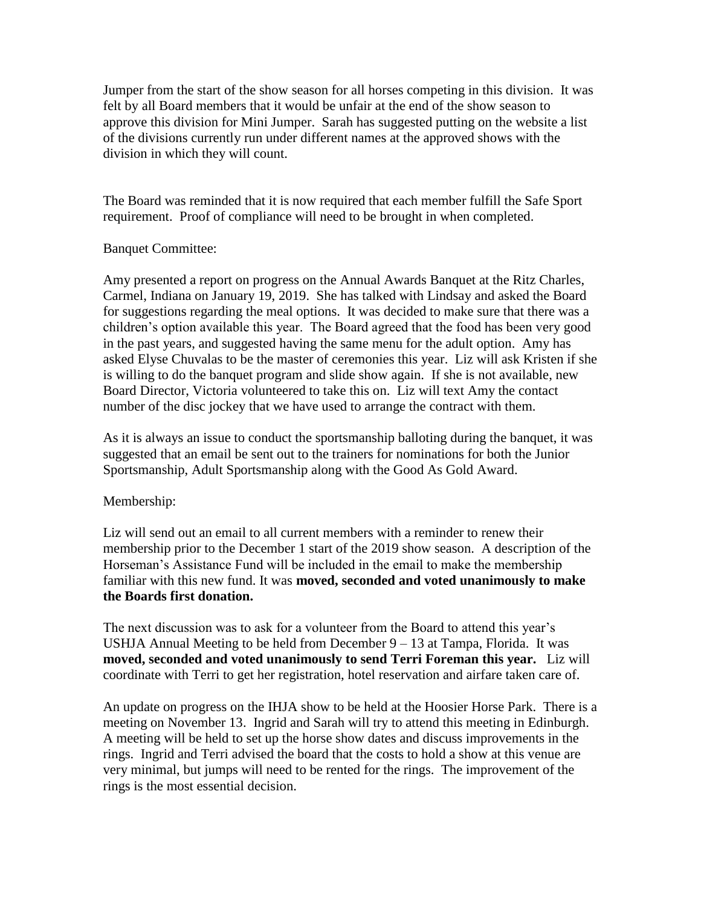Jumper from the start of the show season for all horses competing in this division. It was felt by all Board members that it would be unfair at the end of the show season to approve this division for Mini Jumper. Sarah has suggested putting on the website a list of the divisions currently run under different names at the approved shows with the division in which they will count.

The Board was reminded that it is now required that each member fulfill the Safe Sport requirement. Proof of compliance will need to be brought in when completed.

### Banquet Committee:

Amy presented a report on progress on the Annual Awards Banquet at the Ritz Charles, Carmel, Indiana on January 19, 2019. She has talked with Lindsay and asked the Board for suggestions regarding the meal options. It was decided to make sure that there was a children's option available this year. The Board agreed that the food has been very good in the past years, and suggested having the same menu for the adult option. Amy has asked Elyse Chuvalas to be the master of ceremonies this year. Liz will ask Kristen if she is willing to do the banquet program and slide show again. If she is not available, new Board Director, Victoria volunteered to take this on. Liz will text Amy the contact number of the disc jockey that we have used to arrange the contract with them.

As it is always an issue to conduct the sportsmanship balloting during the banquet, it was suggested that an email be sent out to the trainers for nominations for both the Junior Sportsmanship, Adult Sportsmanship along with the Good As Gold Award.

# Membership:

Liz will send out an email to all current members with a reminder to renew their membership prior to the December 1 start of the 2019 show season. A description of the Horseman's Assistance Fund will be included in the email to make the membership familiar with this new fund. It was **moved, seconded and voted unanimously to make the Boards first donation.**

The next discussion was to ask for a volunteer from the Board to attend this year's USHJA Annual Meeting to be held from December 9 – 13 at Tampa, Florida. It was **moved, seconded and voted unanimously to send Terri Foreman this year.** Liz will coordinate with Terri to get her registration, hotel reservation and airfare taken care of.

An update on progress on the IHJA show to be held at the Hoosier Horse Park. There is a meeting on November 13. Ingrid and Sarah will try to attend this meeting in Edinburgh. A meeting will be held to set up the horse show dates and discuss improvements in the rings. Ingrid and Terri advised the board that the costs to hold a show at this venue are very minimal, but jumps will need to be rented for the rings. The improvement of the rings is the most essential decision.